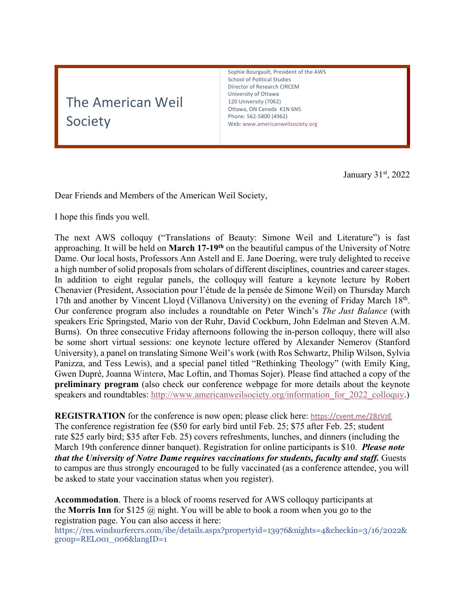# The American Weil Society

Sophie Bourgault, President of the AWS School of Political Studies Director of Research CIRCEM University of Ottawa 120 University (7062) Ottawa, ON Canada K1N 6N5 Phone: 562-5800 (4962) Web: www.americanweilsociety.org

January 31st, 2022

Dear Friends and Members of the American Weil Society,

I hope this finds you well.

The next AWS colloquy ("Translations of Beauty: Simone Weil and Literature") is fast approaching. It will be held on **March 17-19th** on the beautiful campus of the University of Notre Dame. Our local hosts, Professors Ann Astell and E. Jane Doering, were truly delighted to receive a high number of solid proposals from scholars of different disciplines, countries and career stages. In addition to eight regular panels, the colloquy will feature a keynote lecture by Robert Chenavier (President, Association pour l'étude de la pensée de Simone Weil) on Thursday March 17th and another by Vincent Lloyd (Villanova University) on the evening of Friday March 18<sup>th</sup>. Our conference program also includes a roundtable on Peter Winch's *The Just Balance* (with speakers Eric Springsted, Mario von der Ruhr, David Cockburn, John Edelman and Steven A.M. Burns). On three consecutive Friday afternoons following the in-person colloquy, there will also be some short virtual sessions: one keynote lecture offered by Alexander Nemerov (Stanford University), a panel on translating Simone Weil's work (with Ros Schwartz, Philip Wilson, Sylvia Panizza, and Tess Lewis), and a special panel titled "Rethinking Theology" (with Emily King, Gwen Dupré, Joanna Winterø, Mac Loftin, and Thomas Sojer). Please find attached a copy of the **preliminary program** (also check our conference webpage for more details about the keynote speakers and roundtables: http://www.americanweilsociety.org/information for 2022 colloquy.)

**REGISTRATION** for the conference is now open; please click here: https://cvent.me/28zVzE The conference registration fee (\$50 for early bird until Feb. 25; \$75 after Feb. 25; student rate \$25 early bird; \$35 after Feb. 25) covers refreshments, lunches, and dinners (including the March 19th conference dinner banquet). Registration for online participants is \$10. *Please note that the University of Notre Dame requires vaccinations for students, faculty and staff.* Guests to campus are thus strongly encouraged to be fully vaccinated (as a conference attendee, you will be asked to state your vaccination status when you register).

**Accommodation**. There is a block of rooms reserved for AWS colloquy participants at the **Morris Inn** for \$125 @ night. You will be able to book a room when you go to the registration page. You can also access it here:

https://res.windsurfercrs.com/ibe/details.aspx?propertyid=13976&nights=4&checkin=3/16/2022& group=REL001\_006&langID=1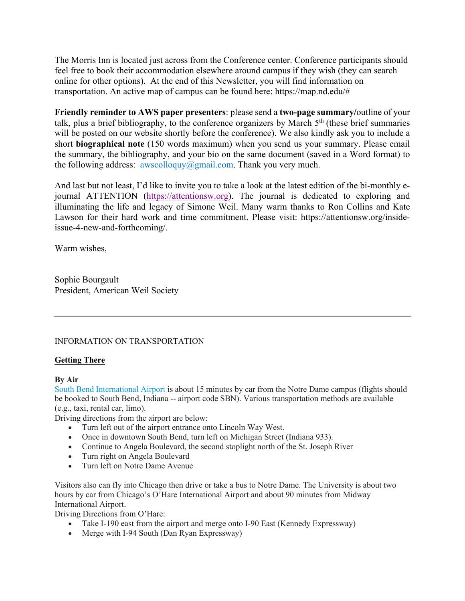The Morris Inn is located just across from the Conference center. Conference participants should feel free to book their accommodation elsewhere around campus if they wish (they can search online for other options). At the end of this Newsletter, you will find information on transportation. An active map of campus can be found here: https://map.nd.edu/#

**Friendly reminder to AWS paper presenters**: please send a **two-page summary/**outline of your talk, plus a brief bibliography, to the conference organizers by March  $5<sup>th</sup>$  (these brief summaries will be posted on our website shortly before the conference). We also kindly ask you to include a short **biographical note** (150 words maximum) when you send us your summary. Please email the summary, the bibliography, and your bio on the same document (saved in a Word format) to the following address:  $awscolloquy@gmail.com$ . Thank you very much.

And last but not least, I'd like to invite you to take a look at the latest edition of the bi-monthly ejournal ATTENTION (https://attentionsw.org). The journal is dedicated to exploring and illuminating the life and legacy of Simone Weil. Many warm thanks to Ron Collins and Kate Lawson for their hard work and time commitment. Please visit: https://attentionsw.org/insideissue-4-new-and-forthcoming/.

Warm wishes,

Sophie Bourgault President, American Weil Society

## INFORMATION ON TRANSPORTATION

## **Getting There**

## **By Air**

South Bend International Airport is about 15 minutes by car from the Notre Dame campus (flights should be booked to South Bend, Indiana -- airport code SBN). Various transportation methods are available (e.g., taxi, rental car, limo).

Driving directions from the airport are below:

- Turn left out of the airport entrance onto Lincoln Way West.
- Once in downtown South Bend, turn left on Michigan Street (Indiana 933).
- Continue to Angela Boulevard, the second stoplight north of the St. Joseph River
- Turn right on Angela Boulevard
- Turn left on Notre Dame Avenue

Visitors also can fly into Chicago then drive or take a bus to Notre Dame. The University is about two hours by car from Chicago's O'Hare International Airport and about 90 minutes from Midway International Airport.

Driving Directions from O'Hare:

- Take I-190 east from the airport and merge onto I-90 East (Kennedy Expressway)
- Merge with I-94 South (Dan Ryan Expressway)